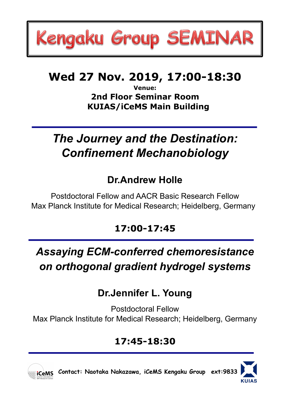# Kengaku Group SEMINAR

## **Wed 27 Nov. 2019, 17:00-18:30**

**Venue: 2nd Floor Seminar Room KUIAS/iCeMS Main Building**

# *The Journey and the Destination: Confinement Mechanobiology*

## **Dr.Andrew Holle**

Postdoctoral Fellow and AACR Basic Research Fellow Max Planck Institute for Medical Research; Heidelberg, Germany

## **17:00-17:45**

# *Assaying ECM-conferred chemoresistance on orthogonal gradient hydrogel systems*

## **Dr.Jennifer L. Young**

Postdoctoral Fellow Max Planck Institute for Medical Research; Heidelberg, Germany

#### **17:45-18:30**



 **Contact: Naotaka Nakazawa, iCeMS Kengaku Group ext:9833**

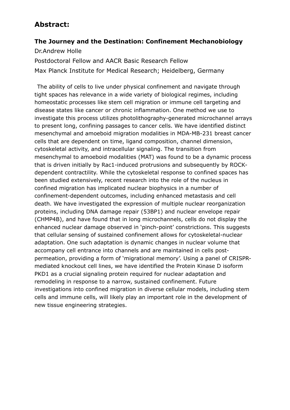#### **Abstract:**

#### **The Journey and the Destination: Confinement Mechanobiology**

Dr.Andrew Holle

Postdoctoral Fellow and AACR Basic Research Fellow Max Planck Institute for Medical Research; Heidelberg, Germany

The ability of cells to live under physical confinement and navigate through tight spaces has relevance in a wide variety of biological regimes, including homeostatic processes like stem cell migration or immune cell targeting and disease states like cancer or chronic inflammation. One method we use to investigate this process utilizes photolithography-generated microchannel arrays to present long, confining passages to cancer cells. We have identified distinct mesenchymal and amoeboid migration modalities in MDA-MB-231 breast cancer cells that are dependent on time, ligand composition, channel dimension, cytoskeletal activity, and intracellular signaling. The transition from mesenchymal to amoeboid modalities (MAT) was found to be a dynamic process that is driven initially by Rac1-induced protrusions and subsequently by ROCKdependent contractility. While the cytoskeletal response to confined spaces has been studied extensively, recent research into the role of the nucleus in confined migration has implicated nuclear biophysics in a number of confinement-dependent outcomes, including enhanced metastasis and cell death. We have investigated the expression of multiple nuclear reorganization proteins, including DNA damage repair (53BP1) and nuclear envelope repair (CHMP4B), and have found that in long microchannels, cells do not display the enhanced nuclear damage observed in 'pinch-point' constrictions. This suggests that cellular sensing of sustained confinement allows for cytoskeletal-nuclear adaptation. One such adaptation is dynamic changes in nuclear volume that accompany cell entrance into channels and are maintained in cells postpermeation, providing a form of 'migrational memory'. Using a panel of CRISPRmediated knockout cell lines, we have identified the Protein Kinase D isoform PKD1 as a crucial signaling protein required for nuclear adaptation and remodeling in response to a narrow, sustained confinement. Future investigations into confined migration in diverse cellular models, including stem cells and immune cells, will likely play an important role in the development of new tissue engineering strategies.